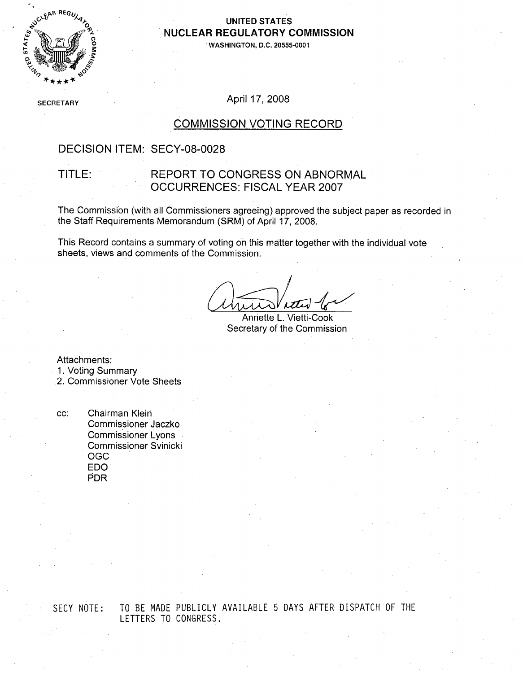

### **UNITED STATES NUCLEAR** REGULATORY **COMMISSION**

**WASHINGTON, D.C. 20555-0001**

**SECRETARY** 

**NUCLE** 

 $STATER$ 

April 17, 2008

### COMMISSION VOTING RECORD

## DECISION ITEM: SECY-08-0028

## TITLE: REPORT TO CONGRESS ON ABNORMAL OCCURRENCES: FISCAL YEAR 2007

The Commission (with all Commissioners agreeing) approved the subject paper as recorded in the Staff Requirements Memorandum (SRM) of April 17, 2008.

This Record contains a summary of voting on this matter together with the individual vote sheets, views and comments of the Commission.

Annette L. Vietti-Cook Secretary of the Commission

Attachments:

1. Voting Summary

.2. Commissioner Vote Sheets

cc: Chairman Klein Commissioner Jaczko Commissioner Lyons Commissioner Svinicki OGC EDO PDR

SECY NOTE: TO BE MADE PUBLICLY AVAILABLE 5 DAYS AFTER DISPATCH OF THE LETTERS TO CONGRESS.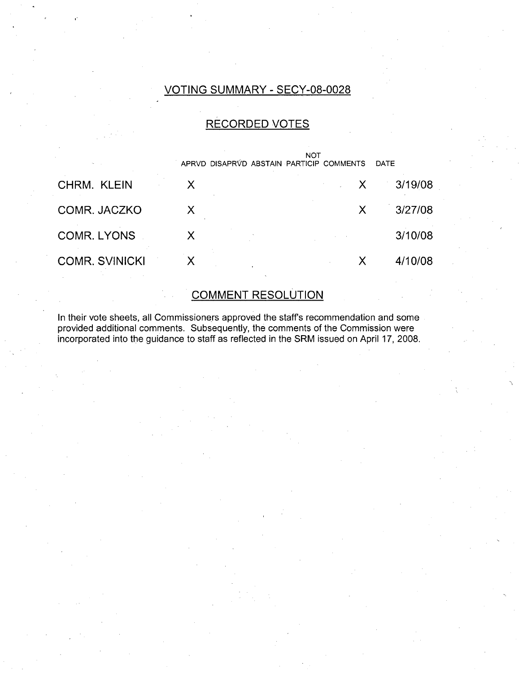## VOTING SUMMARY - SECY-08-0028

## RECORDED VOTES

|                       |   | <b>NOT</b><br>APRVD DISAPRVD ABSTAIN PARTICIP COMMENTS | DATE    |
|-----------------------|---|--------------------------------------------------------|---------|
| CHRM. KLEIN           | X | X                                                      | 3/19/08 |
| COMR. JACZKO          | Х | Х                                                      | 3/27/08 |
| <b>COMR. LYONS</b>    | X |                                                        | 3/10/08 |
| <b>COMR. SVINICKI</b> |   |                                                        | 4/10/08 |

# COMMENT RESOLUTION

In their vote sheets, all Commissioners approved the staff's recommendation and some provided additional comments. Subsequently, the comments of the Commission were incorporated into the guidance to staff as reflected in the SRM issued on April 17, 2008.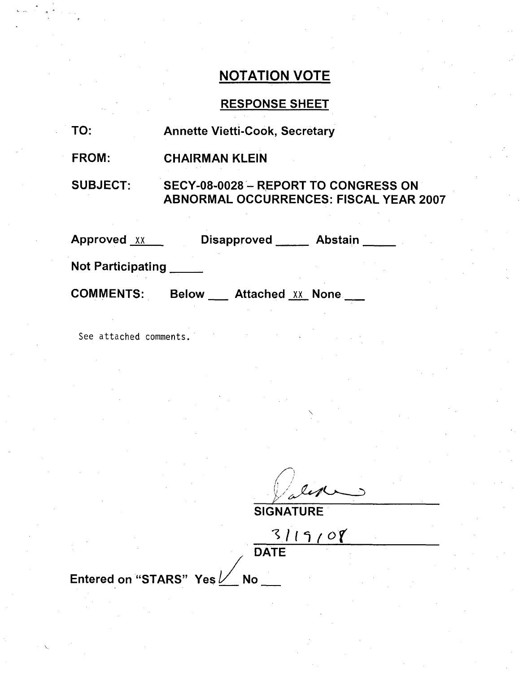## RESPONSE SHEET

TO: Annette Vietti-Cook, Secretary

FROM: CHAIRMAN KLEIN

SUBJECT: SECY-08-0028 - REPORT TO CONGRESS ON ABNORMAL OCCURRENCES: FISCAL YEAR 2007

| <b>Approved</b> XX       |              | <b>Disapproved</b>       | <b>Abstain</b> |  |
|--------------------------|--------------|--------------------------|----------------|--|
| <b>Not Participating</b> |              |                          |                |  |
| <b>COMMENTS:</b>         | <b>Below</b> | <b>Attached XX None.</b> |                |  |

See attached comments.

**SIGNATURE** 

 $3119108$ **DATE** 

Entered on "STARS" Yes  $\nu$  $\overline{\mathsf{No}}$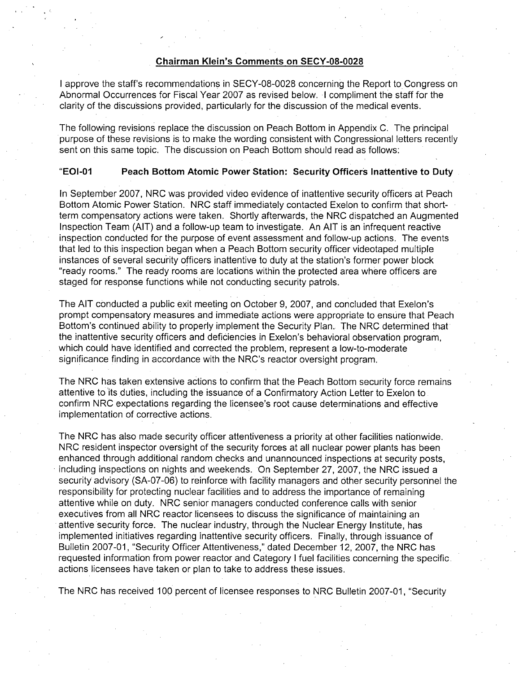#### Chairman Klein's Comments on **SECY-08-0028**

I approve the staff's recommendations in SECY-08-0028 concerning the Report to Congress on Abnormal Occurrences for Fiscal Year 2007 as revised below. I compliment the staff for the clarity of the discussions provided, particularly for the discussion of the medical events.

The following revisions replace the discussion on Peach Bottom in Appendix C. The principal purpose of these revisions is to make the wording consistent with Congressional letters recently sent on this same topic. The discussion on Peach Bottom should read as follows:

#### **"EOI-01** Peach Bottom Atomic Power Station: Security Officers Inattentive to Duty

In September 2007, NRC was provided video evidence of inattentive security officers at Peach Bottom Atomic Power Station. NRC staff immediately contacted Exelon to confirm that shortterm compensatory actions were taken. Shortly afterwards, the NRC dispatched an Augmented Inspection Team (AIT) and a follow-up team to investigate. An **AIT** is an infrequent reactive inspection conducted for the purpose of event assessment and follow-up actions. The events that led to this inspection began when a Peach Bottom security officer videotaped multiple instances of several security officers inattentive to duty at the station's former power block "ready rooms." The ready rooms are locations within the protected area where officers are staged for response functions while not conducting security patrols.

The **AIT** conducted a public exit meeting on October 9, 2007, and concluded that Exelon's prompt compensatory measures and immediate actions were appropriate to ensure that Peach Bottom's continued ability to properly implement the Security Plan. The NRC determined that the inattentive security officers and deficiencies in Exelon's behavioral observation program, which could have identified and corrected the problem, represent a low-to-moderate significance finding in accordance with the NRC's reactor oversight program.

The NRC has taken extensive actions to confirm that the Peach Bottom security force remains attentive to'its duties, including the issuance of a Confirmatory Action Letter to Exelon to confirm NRC expectations regarding the licensee's root cause determinations and effective implementation of corrective actions.

The NRC has also made security officer attentiveness a priority at other facilities nationwide. NRC resident inspector oversight of the security forces at all nuclear power plants has been enhanced through additional random checks and unannounced inspections at security posts, including inspections on nights and weekends. On September 27, 2007, the NRC issued a security advisory (SA-07-06) to reinforce with facility managers and other security personnel the responsibility for protecting nuclear facilities and to address the importance of remaining attentive while on duty. NRC senior managers conducted conference calls with senior executives from all NRC reactor licensees to discuss the significance of maintaining an attentive security force. The nuclear industry, through the Nuclear Energy Institute, has implemented initiatives regarding inattentive security officers. Finally, through issuance of Bulletin 2007-01, "Security Officer Attentiveness," dated December 12, 2007, the NRC has requested information from power reactor and Category I fuel facilities concerning the specific. actions licensees have taken or plan to take to address these issues.

The NRC has received 100 percent of licensee responses to NRC Bulletin 2007-01, "Security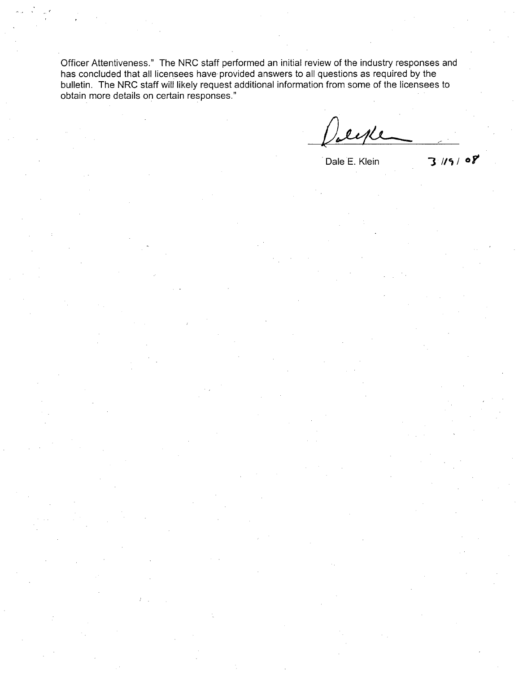Officer Attentiveness." The NRC staff performed an initial review of the industry responses and has concluded that all licensees have, provided answers to all questions as required by the bulletin. The NRC staff will likely request additional information from some of the licensees to obtain more details on certain responses."

ecke

Dale E. Klein **3 //9 / 08**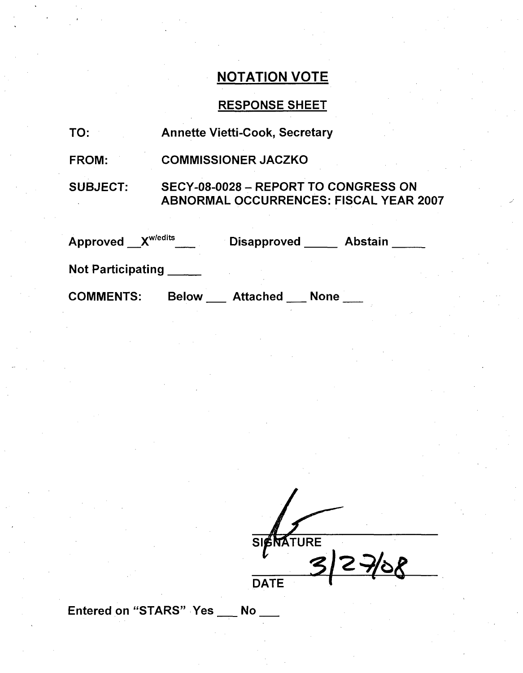# RESPONSE SHEET

| TO:          | <b>Annette Vietti-Cook, Secretary</b> |  |
|--------------|---------------------------------------|--|
| <b>FROM:</b> | <b>COMMISSIONER JACZKO</b>            |  |

SUBJECT: SECY-08-0028 - REPORT TO CONGRESS ON ABNORMAL OCCURRENCES: FISCAL YEAR 2007

| X <sup>w/edits</sup><br><b>Approved</b> |              | <b>Disapproved</b> | <b>Abstain</b> |  |
|-----------------------------------------|--------------|--------------------|----------------|--|
| <b>Not Participating</b>                |              |                    |                |  |
| <b>COMMENTS:</b>                        | <b>Below</b> | <b>Attached</b>    | <b>None</b>    |  |

 $2768$ SIENATURE<br>3/2 **DATE** 

Entered on "STARS" Yes \_\_ No \_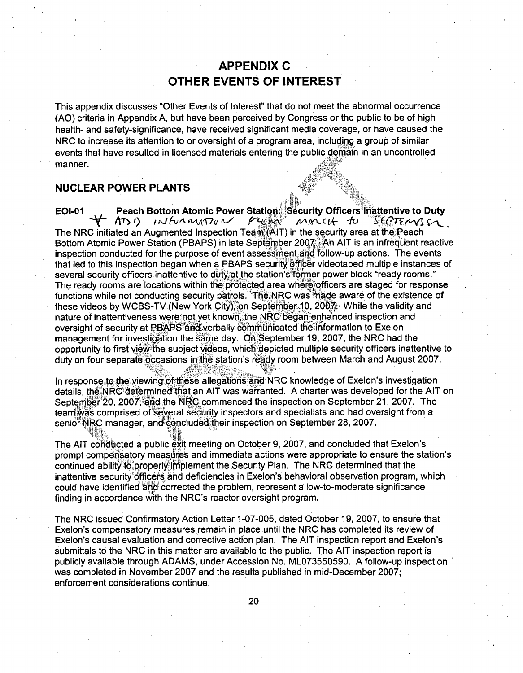## **APPENDIX C** OTHER **EVENTS** OF **INTEREST**

This appendix discusses "Other Events of Interest" that do not meet the abnormal occurrence (AO) criteria in Appendix A, but have been perceived by Congress or the public to be of high health- and safety-significance, have received significant media coverage, or have caused the NRC to increase its attention to or oversight of a program area, including a group of similar events that have resulted in licensed materials entering the public domain in an uncontrolled manner.

### **NUCLEAR** POWER **PLANTS**

EOI-01 Peach Bottom Atomic Power Station: Security Officers Inattentive to Duty<br>• ADD 10 IN AMATION PROPERTY MANUELE TO SECTEMA SA  $Y$  AT<sub>1</sub>) *intramation proper minicit to secret* The NRC initiated an Augmented Inspection Team (AIT) in the security area at the Peach Bottom Atomic Power Station (PBAPS) in late September 2007•. An **AIT** is an infrequent reactive inspection conducted for the purpose of event assessment and follow-up actions. The events that led to this inspection began when a-PBAPS security officer videotaped multiple instances of several security officers inattentive to duty at the station's former power block "ready rooms." The ready rooms are locations within the protected area whereiofficers are staged for response functions while not conducting security patrols. The NRC was made aware of the existence of these videos by WCBS-TV (New York City), on September 10, 2007. While the validity and nature of inattentiveness were not yet known, the NRC began enhanced inspection and oversight of security at PBAPS and verbally communicated the information to Exelon management for investigation the same day. On September 19, 2007, the NRC had the opportunity to first view the subject videos, which depicted multiple security officers inattentive to duty on four separate occasions in the station's ready room between March and August 2007.

In response to the viewing of these allegations and NRC knowledge of Exelon's investigation details, the•NRC determined that an **AIT** was warranted. A charter was developed for the **AIT** on September 20, 2007, and the NRC commenced the inspection on September 21, 2007. The team was comprised of several security inspectors and specialists and had oversight from a senior NRC manager, and concluded their inspection on September 28, 2007.

The **AIT** conducted a public exit meeting on October 9, 2007, and concluded that Exelon's prompt compensatory measures and immediate actions were appropriate to ensure the station's continued ability to properly implement the Security Plan. The NRC determined that the inattentive security officers and deficiencies in Exelon's behavioral observation program, which could have identified and corrected the problem, represent a low-to-moderate significance finding in accordance with the NRC's reactor oversight program.

The NRC issued Confirmatory Action Letter 1-07-005, dated October 19, 2007, to ensure that Exelon's compensatory measures remain in place until the NRC has completed its review of Exelon's causal evaluation and corrective action plan. The **AIT** inspection report and Exelon's submittals to the NRC in this matter are available to the public. The **AIT** inspection report is publicly available through ADAMS, under Accession No. ML073550590. A follow-up inspection was completed in November 2007 and the results published in mid-December 2007; enforcement considerations continue.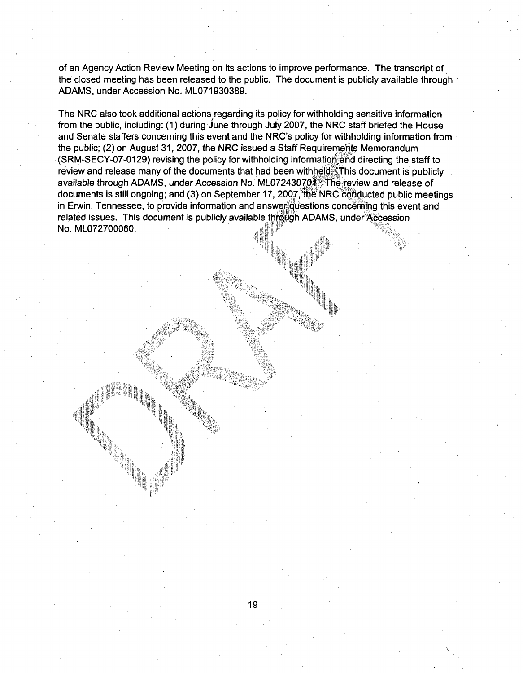of an Agency Action Review Meeting on its actions to improve performance. The transcript of the closed meeting has been released to the public. The document is publicly available through ADAMS, under Accession No. ML071930389.

The NRC also took additional actions regarding its policy for withholding sensitive information from the public, including: (1) during June through July 2007, the NRC staff briefed the House and Senate staffers concerning this event and the NRC's policy for withholding information from the public; (2) on August 31, 2007, the NRC issued a Staff Requirements Memorandum (SRM-SECY-07-0129) revising the policy for withholding information, and directing the staff to review and release many of the documents that had been withheld. This document is publicly available through ADAMS, under Accession No. ML072430701. The review and release of documents is still ongoing; and (3) on September 17, 2007, the NRC conducted public meetings in Erwin, Tennessee, to provide information and answer questions concerning this event and related issues. This document is publicly available through ADAMS, under Accession No. ML072700060.

 $\epsilon$ r

**Pp**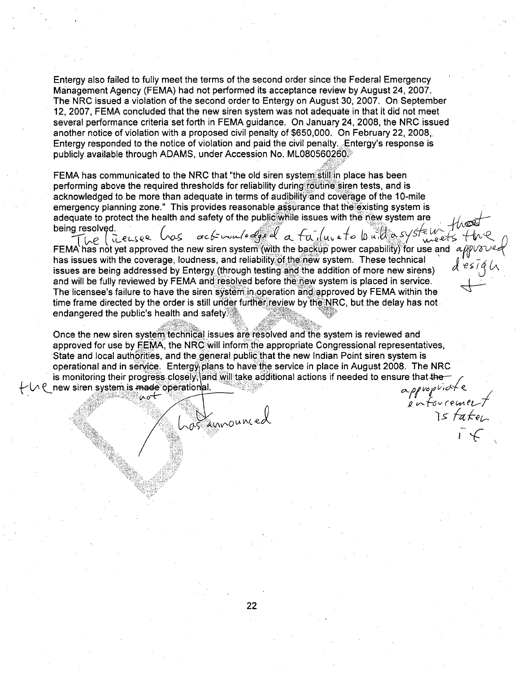Entergy also failed to fully meet the terms of the second order since the Federal Emergency Management Agency (FEMA) had not performed its acceptance review by August 24, 2007. The NRC issued a violation of the second order to Entergy on August **30,** 2007. On September 12, 2007, FEMA concluded that the new siren system was not adequate in that it did not meet several performance criteria set forth in FEMA guidance. On January 24, 2008, the NRC issued another notice of violation with a proposed civil penalty of \$650,000. On February 22, 2008,. Entergy responded to the notice of violation and paid the civil penalty. Entergy's response is publicly available through ADAMS, under Accession No. ML080560260.

FEMA has communicated to the NRC that "the old siren system still in place has been performing above the required thresholds for reliability during routine siren tests, and is acknowledged to be more than adequate in terms of audibility and coverage of the 10-mile emergency planning zone." This provides reasonable assurance that the existing system is adequate to protect the health and safety of the pub<u>lic w</u>hile issues with the new system are being resolv d. /,yr. *•Ii>.*

FEMA has not yet approved the new siren system (with the backup power capability) for use and has issues with the coverage, loudness, and reliability of the new system. These technical issues are being addressed by Entergy (through testing and the addition of more new sirens) and  $e$  sing  $U$ and will be fully reviewed by FEMA and resolved before the new system is placed in service. The licensee's failure to have the siren system in operation and approved by FEMA within the time frame directed by the order is still under further review by the NRC, but the delay has not endangered the public's health and safety.

Once the new siren system technical issues are resolved and the system is reviewed and approved for use by EEMA, the NRC will inform the appropriate Congressional representatives. State and local authorities, and the general public that the new Indian Point siren system is operational and in service. Entergy plans to have the service in place in August 2008. The NRC is monitoring their progress closely, and will take additional actions if needed to ensure that the -~&Cnew siren system ismaede operation **1.** *11Yo L"* **C44~** appropriate<br>enforcement<br>is faten

. *VV<)LA+* 'V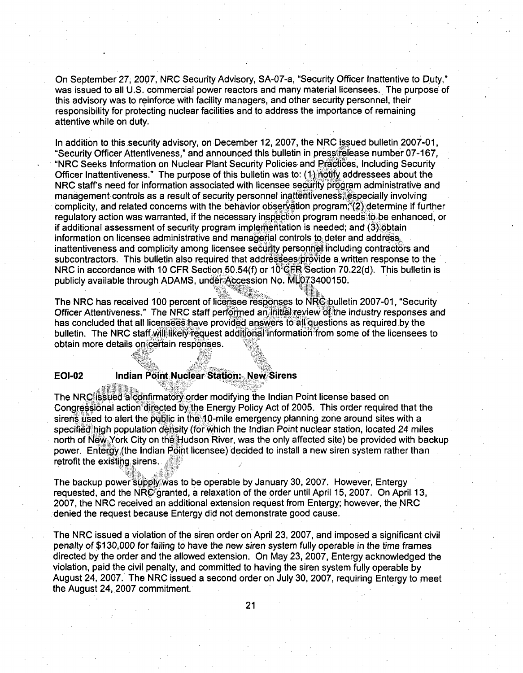On September **27,** 2007, NRC Security Advisory, SA-07-a, "Security Officer Inattentive to Duty," was issued to all U.S. commercial power reactors and many material licensees. The purpose of this advisory was to reinforce with facility managers, and other security personnel, their responsibility for protecting nuclear facilities and to address the importance of remaining attentive while on duty.

In addition to this security advisory, on December 12, 2007, the NRC issued bulletin 2007-01, "Security Officer Attentiveness," and announced this bulletin in press release number 07-167, "NRC Seeks Information on Nuclear Plant Security Policies. and Practices, Including Security Officer Inattentiveness." The purpose of this bulletin was to: **(1)** notify addressees about the NRC staffs need for information associated with licensee security program administrative and management controls as a result of security personnel inattentiveness,.especially involving complicity, and related concerns with the behavior observation program; (2) determine if further regulatory action was warranted, if the necessary inspection program needs to be enhanced, or if additional assessment of security program implementation is needed; and **(3)** obtain information on licensee administrative and managerial controls to deter and address inattentiveness and complicity among licensee security personnel including contractors and subcontractors. This bulletin also required that addressees provide a written response to the NRC in accordance with 10 CFR Section 50.54(f) or 10 **C.FR** Section 70.22(d). This bulletin is publicly available through ADAMS, under Accession No. ML073400150.

The NRC has received 100 percent of licensee responses to NRC bulletin 2007-01, "Security Officer Attentiveness." The NRC staff performed an initial review of the industry responses and has concluded that all licensees have provided answers to all questions as required by the bulletin. The NRC staff will likely request additional information from some of the licensees to obtain more details on certain responses.

### **EOI-02** Indian Point Nuclear Station: New Sirens

The NRC, issued a confirmatory order modifying the Indian Point license based on Congressional action directed **by** the Energy Policy Act of 2005. This order required that the sirens used to alert the public in the **1** 0-mile emergency planning zone around sites with a specified high population density (for which the Indian Point nuclear station, located 24 miles north of New, York City on the Hudson"River, was the only affected site) be provided with backup power. Entergy (the Indian Point licensee) decided to install a new siren system rather than retrofit the existing sirens.

The backup power supply was to be operable by January 30, 2007. However, Entergy requested, and the NRC<sup>®</sup>granted, a relaxation of the order until April 15, 2007. On April 13, 2007, the NRC received an additional extension request from Entergy; however, the NRC .denied the request because Entergy did not demonstrate good cause.

The NRC issued a violation of the siren order on April 23, 2007, and imposed a significant civil penalty of \$130,000 for failing to have the new siren system fully operable in the time frames directed. by the order and the allowed extension. On May 23, 2007, Entergy acknowledged the violation, paid the civil penalty, and committed to having the siren system fully operable by August 24, 2007. The NRC issued a second order on July 30, 2007, requiring Entergy to meet the August 24, 2007 commitment.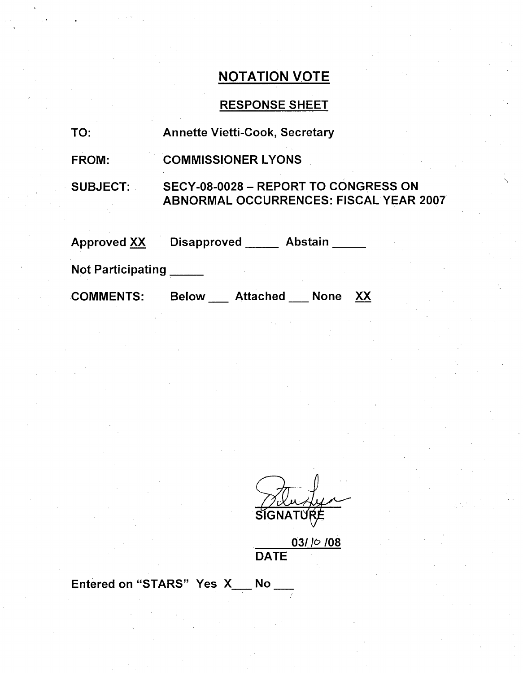# RESPONSE SHEET

FROM: COMMISSIONER LYONS

SUBJECT: SECY-08-0028 - REPORT TO CONGRESS ON ABNORMAL OCCURRENCES: FISCAL YEAR 2007

| Approved <u>XX</u> | <b>Disapproved</b> | <b>Abstain</b> |  |
|--------------------|--------------------|----------------|--|
|                    |                    |                |  |

Not Participating

**COMMENTS:** 

Below Attached None XX

**SIGNATU** 

03/ 109 DATE

Entered on "STARS" Yes  $X$ <sub>\_\_\_</sub> No \_\_\_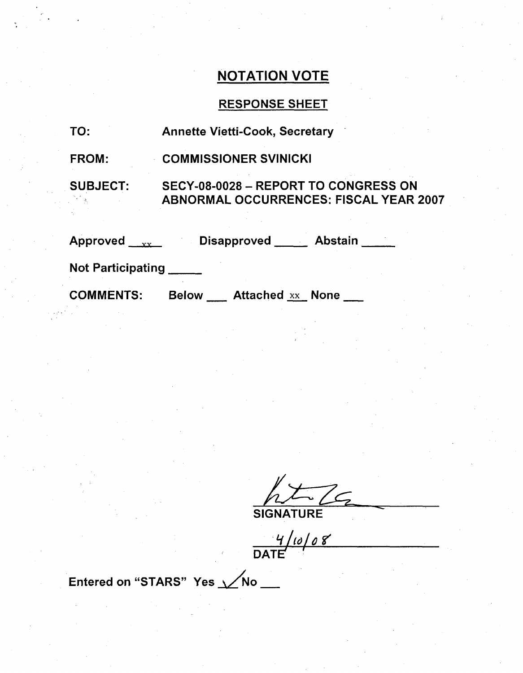## RESPONSE SHEET

| TO: | <b>Annette Vietti-Cook, Secretary</b> |
|-----|---------------------------------------|
|     |                                       |

FROM: COMMISSIONER SVINICKI

SUBJECT: SECY-08-0028 - REPORT TO CONGRESS ON ABNORMAL OCCURRENCES: FISCAL YEAR 2007

Approved \_\_<sub>xx</sub>\_\_ Disapproved \_\_\_\_\_\_ Abstain

Not Participating

COMMENTS: Below \_\_\_\_ Attached <u>xx\_</u> None

**SIGNATURE** 

**DATE'**

Entered on "STARS" Yes **Vo**